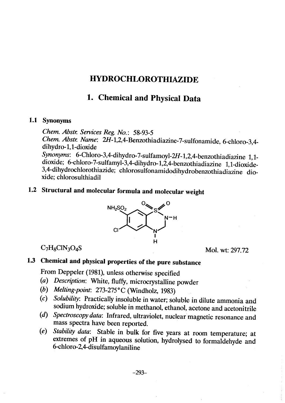# HYDROCHLOROTHIAZIDE

# 1. Chemical and Physical Data

#### 1.1 Synonyms

Chem. Abstr. Services Reg. No.: 58-93-5

Chem. Abstr. Name: 2H-1,2,4-Benzothiadiazine-7-sulfonamide, 6-chloro-3,4dihydro-l,l-dioxide Synonyms: 6-Chloro-3,4-dihydro-7-sulfamoyl-2H-1,2,4-benzothiadiazine 1,1-

dioxide; 6-chloro-7-sulfamyl-3,4-dihydro-1,2,4-benzothiadiazine 1,1-dioxide-3,4-dihydrochlorothiazide; chlorosulfonamidodihydrobenzothiadiazine dioxide; chlorosulthiadil

#### 1.2 Structural and molecular formula and molecular weight



 $C_7H_8CIN_3O_4S$  Mol. wt: 297.72

# 1.3 Chemical and physical properties of the pure substance

From Deppeler (1981), unless otherwise specified

- (a) Description: White, fluffy, microcrystalline powder
- (b) Melting-point: 273-275°C (Windholz, 1983).
- $(c)$  Solubility: Practically insoluble in water; soluble in dilute ammonia and sodium hydroxide; soluble in methanol, ethanol, acetone and acetonitrile
- (d) Spectroscopy data: Infrared, ultraviolet, nuclear magnetic resonance and mass spectra have been reported.
- (e) Stability data: Stable in bulk for five years at room temperature; at extremes of pH in aqueous solution, hydrolysed to formaldehyde and 6-chloro-2,4-disulfamoylanilne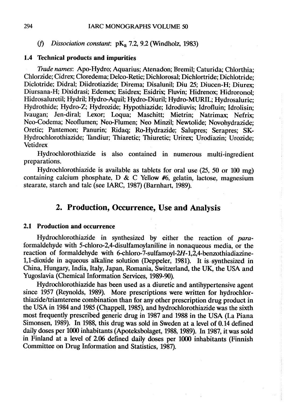#### (f) Dissociation constant:  $pK_a$  7.2, 9.2 (Windholz, 1983)

#### 1.4 Technical products and impurities

Trade names: Apo-Hydro; Aquarius; Atenadon; Bremil; Caturida; Chlorthia; Chlorzide; Cidrex; Cloredema; Delco-Retic; Dichlorosal; Dichlortride; Dichlotride; Diclotride; Didral; Diidrotiazide; Direma; Disalunil; Diu 25; Diucen-H; Diurex; Diursana-H; Dixidrasi; Edemex; Esidrex; Esidrix; Fluvin; Hidrenox; Hidroronol; Hidrosaluretil; Hydril; Hydro-Aquil; Hydro-Diuril; Hydro-MURIL; Hydrosaluric; Hydrothide; Hydro-Z; Hydrozide; Hypothiazde; Idrodiuvis; Idrofluin; Idrolisin; Ivaugan; Jen-diral; Lexor; Loqua; Maschitt; Mietrin; Natrimax: Nefrix: Neo-Codema; Neoflumen; Neo-Flumen; Neo Minzil; Newtolide; Novohydrazide; Oretic; Pantemon; Panurin; Ridaq; Ro-Hydrazide; Salupres; Serapres; SK-Hydrochlorothiazide; Tandiur; Thiaretic; Thiuretic; Urirex; Urodiazin; Urozide; **Vetidrex** 

Hydrochlorothiazde is also contained in numerous multi-ingredient preparations.

Hydrochlorothiazde is available as tablets for oral use (25, 50 or 100 mg) containing calcium phosphate, D & C Yellow #6, gelatin, lactose, magnesium stearate, starch and talc (see IARC, 1987) (Barnhart, 1989).

## 2. Production, Occurrence, Use and Analysis

#### 2.1 Production and occurrence

Hydrochlorothiazide in synthesized by either the reaction of paraformaldehyde with 5-chloro-2,4-disulfamoylaniline in nonaqueous media, or the reaction of formaldehyde with 6-chloro-7-sulfamoyl-2H-1,2,4-benzothiadiazine-1,1-dioxide in aqueous alkaline solution (Deppeler, 1981). It is synthesized in China, Hungary, India, Italy, Japan, Romania, Switzerland, the UK, the USA and Yugoslavia (Chemical Information Services, 1989-90).

Hydrochlorothiazide has been used as a diuretic and antihypertensive agent since 1957 (Reynolds, 1989). More prescriptions were written for hydrochlorthiazde/triamterene combination than for any other prescription drug product in the USA in 1984 and 1985 (Chappell, 1985), and hydrochlorothiazde was the sixh most frequently prescribed generic drug in 1987 and 1988 in the USA (La Piana Simonsen, 1989). ln 1988, this drug was sold in Sweden at a level of 0.14 defined daily doses per 1000 inhabitants (Apoteksbolaget, 1988, 1989). In 1987, it was sold in Finland at a level of 2.06 defined daily doses per 1000 inhabitants (Finnish Committee on Drug Information and Statistics, 1987).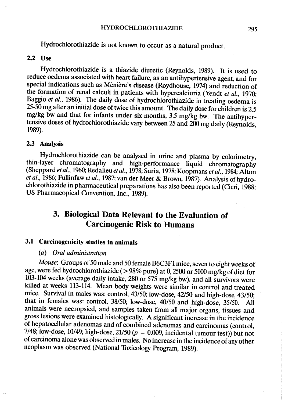Hydrochlorothiazide is not known to occur as a natural product.

#### 2.2 Use

Hydrochlorothiazde is a thiazde diuretic (Reynolds, 1989). It is used to reduce oedema associated with heart failure; as an antihypertensive agent, and for special indications such as Ménière's disease (Roydhouse, 1974) and reduction of the formation of renal calculi in patients with hypercalciuria (Yendt et al., 1970; Baggio et al., 1986). The daily dose of hydrochlorothiazde in treating oedema is 25-50 mg after an initial dose of twice this amount. The daily dose for children is 2.5 mg/kg bw and that for infants under six months, 3.5 mg/kg bw. The antihypertensive doses of hydrochlorothiazide vary between 25 and 200 mg daily (Reynolds, 1989).

#### 2.3 Analysis

Hydrochlorothiazde can be analysed in urine and plasma by colorimetry, thin-Iayer chromatography and high-performance liquid chromatography (Sheppard et al., 1960; Redalieu et al., 1978; Suria, 1978; Koopmans et al., 1984; Alton et al., 1986; Fullinfaw et al., 1987; van der Meer & Brown, 1987). Analysis of hydrochlorothiazde in pharmaceutical preparations has also been reported (Cieri, 1988; US Pharmacopieal Convention, Inc., 1989).

# 3. Biological Data Relevant to the Evaluation of **Carcinogenic Risk to Humans**

### 3.1 Carcinogenicity studies in animaIs

### (a) Oral administration

Mouse: Groups of 50 male and 50 female B6C3F1 mice, seven to eight weeks of age, were fed hydrochlorothiazide (> 98% pure) at 0, 2500 or 5000 mg/kg of diet for 103-104 weeks (average daily intake, 280 or 575 mg/kg bw), and all survivors were killed at weeks 113-114. Mean body weights were similar in control and treated mice. Survival in males was: control, 43/50; low-dose, 42/50 and high-dose, 43/50; that in females was: control, 38/50; low-dose, 40/50 and high-dose, 35/50. All animaIs were necropsied, and samples taken from all major organs, tissues and gross lesions were examined histologically. A significant increase in the incidence of hepatocellular adenomas and of combined adenomas and carcinomas (control, 7/48; low-dose, 10/49; high-dose, 21/50  $(p = 0.009)$ , incidental tumour test)) but not of carcinoma alone was observed in males. No increase in the incidence of any other neoplasm was observed (National Toxicology Program, 1989).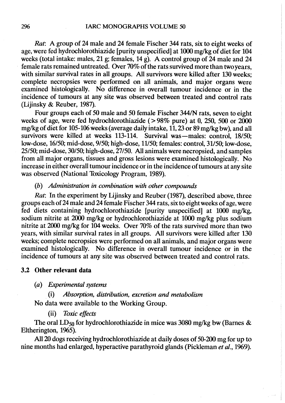Rat: A group of 24 male and 24 female Fischer 344 rats, six to eight weeks of age, were fed hydrochlorothiazide [purity unspecified] at 1000 mg/kg of diet for 104 weeks (total intake: males, 21 g; females, 14 g). A control group of 24 male and 24 female rats remained untreated. Over 70% of the rats survived more than two vears, with similar survival rates in all groups. All survivors were killed after 130 weeks; complete necropsies were performed on aIl animaIs, and major organs were examined histologicaIly. No difference in overall tumour incidence or in the incidence of tumours at any site was observed between treated and control rats (Lijinsky & Reuber, 1987).

Four groups each of 50 male and 50 female Fischer 344/N rats, seven to eight weeks of age, were fed hydrochlorothiazide ( $> 98\%$  pure) at 0, 250, 500 or 2000 mg/kg of diet for 105-106 weeks (average daily intake,  $11$ ,  $23$  or  $89$  mg/kg bw), and all survivors were killed at weeks 113-114. Survival was-males: control, 18/50; low-dose, 16/50; mid-dose, 9/50; high-dose, 11150; females: control, 31/50; low-dose, 25/50; mid-dose, 30/50; high-dose, 27/50. AlI animaIs were necropsied, and samples from all major organs, tissues and gross lesions were examined histologically. No increase in either overall tumour incidence or in the incidence of tumours at any site was observed (National Toxicology Program, 1989).

#### (b) Administration in combination with other compounds

Rat: ln the experiment by Lijinsky and Reuber (1987), described above, three groups each of 24 male and 24 female Fischer 344 rats, six to eight weeks of age, were fed diets containing hydrochlorothiazide [purity unspecified] at 1000 mg/kg, sodium nitrite at 2000 mg/kg or hydrochlorothiazide at 1000 mg/kg plus sodium nitrite at 2000 mg/kg for 104 weeks. Over 70% of the rats survived more than two years, with similar survival rates in all groups. AlI survivors were killed after 130 weeks; complete necropsies were performed on all animals, and major organs were examined histologically. No difference in overall tumour incidence or in the incidence of tumours at any site was observed between treated and control rats.

### 3.2 Other relevant data

#### (a) Exerimental systems

#### $(i)$  Absorption, distribution, excretion and metabolism

No data were available to the Working Group.

#### (ii) Toxic effects

The oral  $LD_{50}$  for hydrochlorothiazide in mice was 3080 mg/kg bw (Barnes & Eltherington, 1965).

All 20 dogs receiving hydrochlorothiazide at daily doses of 50-200 mg for up to nine months had enlarged, hyperactive parathyroid glands (Pickleman et al., 1969).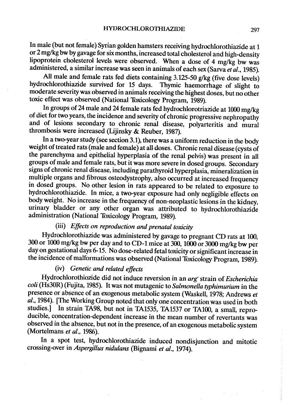ln male (but not female) Syrian golden hamsters reciving hydrochlorothiazde at 1 or 2 mg/kg bw by gavage for six months, increased total cholesterol and high-density lipoprotein cholesterol levels were observed. When a dose of 4 mg/kg bw was administered, a similar increase was seen in animals of each sex (Sarva et  $\vec{a}l$ ., 1985).

All male and female rats fed diets containing  $3.125-50$  g/kg (five dose levels) hydrochlorothiazide survived for 15 days. Thymic haemorrhage of slight to moderate severity was observed in animals receiving the highest doses, but no other toxic effect was observed (National Toxicology Program, 1989).

In groups of 24 male and 24 female rats fed hydrochlorotriazide at 1000 mg/kg of diet for two years, the incidence and severity of chronic progressive nephropathy and of lesions secondary to chronic renal disease, polyarteritis and mural thrombosis were increased (Lijinsky & Reuber, 1987).

ln a two-year study (see section 3.1), there was a uniform reduction in the body weight of treated rats (male and female) at all doses. Chronic renal disease (cysts of the parenchyma and epithelial hyperplasia of the renal pelvis) was present in aIl groups of male and female rats, but it was more severe in dosed groups. Secondary signs of chronic renal disease, including parathyroid hyperplasia, mineralization in multiple organs and fibrous osteodystrophy, also occurred at increased frequency in dosed groups. No other lesion in rats appeared to be related to exposure to hydrochlorothiazide. In mice, a two-year exposure had only negligible effects on body weight. No increase in the frequency of non-neoplastic lesions in the kidney, urinary bladder or any other organ was attributed to hydrochlorothiazide administration (National Toxicology Program, 1989).

## (ii) Effects on reproduction and prenatal toxicity

Hydrochlorothiazde was administered by gavage to pregnant CD rats at 100, 300 or 1000 mg/kg bw per day and to CD-1 mice at 300, 1000 or 3000 mg/kg bw per day on gestational days 6-15. No dose-related fetal toxicity or significant increase in the incidence of malformations was observed (National Toxicology Program, 1989).

### (iv) Genetic and related effects

Hydrochlorothiozide did not induce reversion in an arg- strain of Escherichia coli (Hs30R) (Fujita, 1985). It was not mutagenic to Salmonella typhimurium in the presence or absence of an exogenous metabolic system (Waskell, 1978; Andrews et al., 1984). (The Working Group noted that onlyone concentration was used in both studies.] In strain TA98, but not in TA1535, TA1537 or TA100, a small, reproducible, concentration-dependent increase in the mean number of revertants was observed in the absence, but not in the presence, of an exogenous metabolic system (Mortelmans et al., 1986).

ln a spot test, hydrochlorothiazde induced nondisjunction and mitotic crossing-over in Aspergillus nidulans (Bignami et al., 1974).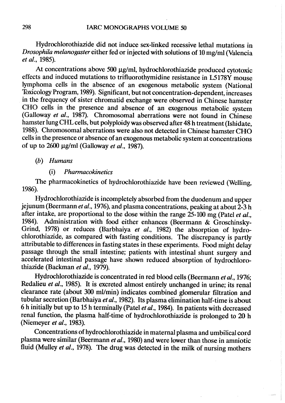Hydrochlorothiazde did not induce sex-linked recessive lethal mutations in Drosophila melanogaster either fed or injected with solutions of 10 mg/ml (Valencia et al., 1985).

At concentrations above 500  $\mu$ g/ml, hydrochlorothiazide produced cytotoxic effects and induced mutations to trifluorothymidine resistance in L5178Y mouse lymphoma cells in the absence of an exogenous metabolic system (National Toxicology Program, 1989). Significant, but not concentration-dependent, increases in the frequency of sister chromatid exchange were observed in Chinese hamster CHO cells in the presence and absence of an exogenous metabolic system (Galloway et al., 1987). Chromosomal aberrations were not found in Chinese hamster lung CHL cells, but polyploidy was observed after 48 h treatment (Ishidate, 1988). Chromosomal aberrations were also not detected in Chinese hamster CHO cells in the presence or absence of an exogenous metabolic system at concentrations of up to  $2600 \mu g/ml$  (Galloway et al., 1987).

(h) Humans

#### (i) Pharmacokinetics

The pharmacokinetics of hydrochlorothiazide have been reviewed (Welling, 1986).

Hydrochlorothiazide is incompletely absorbed from the duodenum and upper jejunum (Beermann et al., 1976), and plasma concentrations, peaking at about  $2\overline{-3}$  h after intake, are proportional to the dose within the range  $25-100$  mg (Patel et al., 1984). Administration with food either enhances (Beermann & Groschinsky-Grind, 1978) or reduces (Barbhaiya et al., 1982) the absorption of hydrochlorothiazide, as compared with fasting conditions. The discrepancy is partly attributable to differences in fasting states in these experiments. Food might delay passage through the small intestine; patients with intestinal shunt surgery and accelerated intestinal passage have shown reduced absorption of hydrochlorothiazide (Backman et al., 1979).

Hydrochlorothiazde is concentrated in red blood cells (Beermann et al., 1976; Redalieu et al., 1985). It is excreted almost entirely unchanged in urine; its renal clearance rate (about 300 ml/min) indicates combined glomerular filtration and tubular secretion (Barbhaiya et al., 1982). Its plasma elimination half-time is about 6 h initially but up to 15 h terminally (Patel *et al.*, 1984). In patients with decreased renal function, the plasma half-time of hydrochlorothiazde is prolonged to 20 h (Niemeyer *et al.*, 1983).

Concentrations of hydrochlorothiazde in maternaI plasma and umbilcal cord plasma were similar (Beermann et al., 1980) and were lower than those in amniotic fluid (Mulley et al., 1978). The drug was detected in the milk of nursing mothers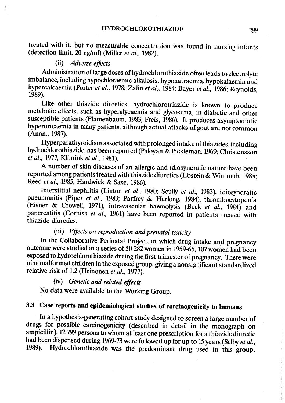treated with it, but no measurable concentration was found in nursing infants (detection limit,  $20$  ng/ml) (Miller et al., 1982).

### (ii) Adverse effects

Administration of large doses of hydrochlorothiazide often leads to electrolyte imbalance, including hypochloraemic alkalosis, hyponatraemia, hypokalaemia and hypercalcaemia (Porter et al., 1978; Zalin et al., 1984; Bayer et al., 1986; Reynolds, 1989).

Like other thiazde diuretics, hydrochlorotriazide is known to produee metabolie effeets, sueh as hyperglycaemia and glyeosuria, in diabetie and other susceptible patients (Flamenbaum, 1983; Freis, 1986). It produces asymptomatic hyperuricaemia in many patients, although actual attacks of gout are not common (Anon., 1987).

Hyperparathyroidism associated with prolonged intake of thiazides, including hydrochlorothiazide, has been reported (Paloyan & Pickleman, 1969; Christensson et al., 1977; Klimiuk et al., 1981).

A number of skin diseases of an allergie and idiosyneratic nature have been reported among patients treated with thiazide diuretics (Ebstein & Wintroub, 1985; Reed *et al.*, 1985; Hardwick & Saxe, 1986).

Interstitial nephritis (Linton et al., 1980; Scully et al., 1983), idiosyncratic pneumonitis (Piper et al., 1983; Parfrey & Herlong, 1984), thrombocytopenia (Eisner & Crowell, 1971), intravaseular haemolysis (Beek et al., 1984) and pancreatitis (Cornish et al., 1961) have been reported in patients treated with thiazide diuretics.

## (ii) Effects on reproduction and prenatal toxicity

In the Collaborative Perinatal Project, in which drug intake and pregnancy outcome were studied in a series of 50 282 wornen in 1959-65, 107 women had been exposed to hydrochlorothiazde during the first trimester of pregnaney. There were nine malformed children in the exposed group, giving a nonsignificant standardized relative risk of 1.2 (Heinonen et al., 1977).

# (iv) Genetic and related effects

No data were available to the Working Group.

# 3.3 Case reports and epidemiological studies of carcinogenicity to humans

ln a hypothesis-generating cohort study designed to screen a large number of drugs for possible carcinogenicity (described in detail in the monograph on ampicillin), 12 799 persons to whom at least one prescription for a thiazide diuretic had been dispensed during 1969-73 were followed up for up to 15 years (Selby et al., 1989). Hydrochlorothiazide was the predominant drug used in this group.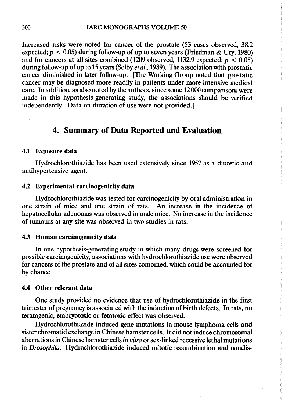Increased risks were noted for cancer of the prostate (53 cases observed, 38.2 expected;  $p < 0.05$ ) during follow-up of up to seven years (Friedman & Ury, 1980) and for cancers at all sites combined (1209 observed, 1132.9 expected;  $p < 0.05$ ) during follow-up of up to 15 years (Selby *et al.*, 1989). The association with prostatic cancer diminished in later follow-up. [The Working Group noted that prostatic cancer may be diagnosed more readily in patients under more intensive medical care. In addition, as also noted by the authors, since some 12 000 comparisons were made in this hypothesis-generating study, the associations should be verified independently. Data on duration of use were not provided.)

## 4. Summary of Data Reported and Evaluation

#### 4.1 Exposure data

Hydrochlorothiazide has been used extensively since 1957 as a diuretic and antihypertensive agent.

### 4.2 Experimental carcinogenicity data

Hydrochlorothiazde was tested for carcinogenicity by oral administration in one strain of mice and one strain of rats. An increase in the incidence of hepatocellular adenomas was observed in male mice. No increase in the incidence. of tumours at any site was observed in two studies in rats.

#### 4.3 Human carcinogenicity data

ln one hypothesis-generating study in which many drugs were screened for possible carcinogenicity, associations with hydrochlorothiazde use were observed for cancers of the prostate and of all sites combined, which could be accounted for by chance.

#### 4.4 Other relevant data

One study provided no evidence that use of hydrochlorothiazde in the first trimester of pregnancy is associated with the induction of birth defects. ln rats, no teratogenic, embryotoxic or fetotoxic effect was observed.

Hydrochlorothiazde induced gene mutations in mouse lymphoma cells and sister chromatid exchange in Chinese hamster cells. It did not induce chromosomal aberrations in Chinese hamster cells *in vitro* or sex-linked recessive lethal mutations in Drosophila. Hydrochlorothiazide induced mitotic recombination and nondis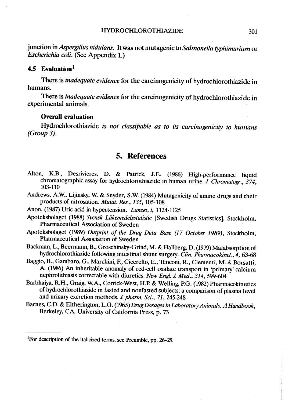junction in Aspergillus nidulans. It was not mutagenic to Salmonella typhimurium or Escherichia coli. (See Appendix 1.)

#### 4.5 Evaluation $<sup>1</sup>$ </sup>

There is *inadequate evidence* for the carcinogenicity of hydrochlorothiazide in humans.

There is *inadequate evidence* for the carcinogenicity of hydrochlorothiazide in experimental animaIs.

#### Overall evaluation

Hydrochlorothiazide is not classifiable as to its carcinogenicity to humans (Group 3).

## 5. References

- Alton, K.B., Desrivieres, D. & Patrick, J.E. (1986) High-performance liquid chromatographic assay for hydrochlorothiazide in human urine. J. Chromatogr., 374, 103-110
- Andrews, A.W., Lijinsky, W. & Snyder, S.W. (1984) Mutagenicity of amine drugs and their products of nitrosation. Mutat. Res., 135, 105-108
- Anon. (1987) Uric acid in hypertension. Lancet, i, 1124-1125
- Apoteksbolaget (1988) Svensk Läkemedelsstatistic [Swedish Drugs Statistics], Stockholm, Pharmaceutical Association of Sweden
- Apoteksbolaget (1989) Outprint of the Drug Data Base (17 October 1989), Stockholm, Pharmaceutical Association of Sweden
- Backman, L., Beermann, B., Groschinsky-Grid, M. & Hallberg, D. (1979) Malabsorption of hydrochlorothiazide following intestinal shunt surgery. Clin. Pharmacokinet., 4, 63-68
- Baggio, B., Gambaro, G., Marchini, F., Cicerello, E., Tenconi, R., Clementi, M. & Borsatti, A. (1986) An inheritable anomaly of red-cell oxalate transport in 'primary' calcium nephrolithiasis correctable with diuretics. New Engl. J. Med., 314, 599-604
- Barbhaiya, R.H., Graig, W.A., Corrick-West, H.P. & Welling, P.G. (1982) Pharmacokinetics of hydrochlorothiazide in fasted and nonfasted subjects: a comparison of plasma level and urinary excretion methods. J. pharm. Sci., 71, 245-248
- Barnes, C.D. & Eltherington, L.G. (1965) Drug Dosages in Laboratory Animals, A Handbook, Berkeley, CA, University of California Press, p. 73

<sup>&</sup>lt;sup>1</sup>For description of the italicized terms, see Preamble, pp. 26–29.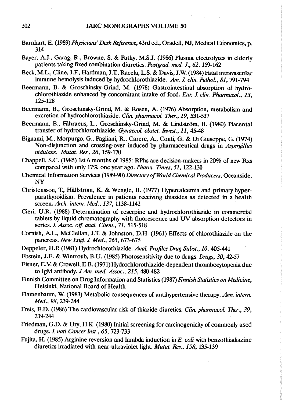- Barnhart, E. (1989) Physicians' Desk Reference, 43rd ed., Oradell, NJ, Medical Economics, p. 314
- Bayer, A.J., Garag, R., Browne, S. & Pathy, M.S.J. (1986) Plasma elecrolytes in elderly patients taking fixed combination diuretics. Postgrad. med. J., 62, 159-162
- Beck, M.L., Cline, J.F., Hardman, J.T., Racela, L.S. & Davis, J.W. (1984) Fatal intravascular immune hemolysis induced by hydrochlorothiazide. Am. J. clin. Pathol., 81, 791-794
- Beermann, B. & Groschinsky-Grid, M. (1978) Gastrointestinal absorption of hydrochlorothiazide enhanced by concomitant intake of food. Eur. J. clin. Pharmacol., 13, 125-128
- Beermann, B., Groschinsky-Grid, M. & Rosen, A. (1976) Absorption, metabolism and excretion of hydrochlorothiazide. Clin. pharmacol. Ther., 19, 531-537
- Beermann, B., Fåhraeus, L., Groschinsky-Grid, M. & Lidström, B. (1980) Placental transfer of hydrochlorothiazide. Gynaecol. obstet. Invest., 11, 45-48
- Bignami, M., Morpurgo, G., Pagliani, R., Carere, A., Conti, G. & Di Giuseppe, G. (1974) Non-disjunction and crossing-over induced by pharmaceutical drugs in Aspergillus nidulans. Mutat. Res., 26, 159-170
- Chappell, S.C. (1985) Ist 6 months of 1985: RPhs are deciion-makers in 20% of new Rxs compared with only 17% one year ago. Pharm. Times, 51, 122-130
- Chemical Information Services (1989-90) Directory of World Chemical Producers, Oceanside, NY
- Christensson, T., Hällström, K. & Wengle, B. (1977) Hypercalcemia and primary hyperparathyroidism. Prevalence in patients receiving thiazides as detected in a health screen. Arch. intern. Med., 137, 1138-1142
- Cieri, U.R. (1988) Determination of reserpine and hydrochlorothiazide in commercial tablets by liquid chromatography with fluorescence and UV absorption detectors in series. J. Assoc. off. anal. Chem., 71, 515-518
- Cornish, A.L., McClellan, J.T. & Johnston, D.H. (1961) Effects of chlorothiazide on the pancreas. New Engl. 1. Med., 265,673-675
- Deppeler, H.P. (1981) Hydrochlorothiazide. Anal. Profiles Drug Subst., 10, 405-441
- Ebstein, J.E. & Wintroub, B.U. (1985) Photosensitivity due to drugs. Drugs, 30, 42-57
- Eisner, E.V. & Crowell, E.B. (1971) Hydrochlorothiazide-dependent thrombocytopenia due to IgM antibody.  $JAm.$  med. Assoc., 215, 480-482
- Finnish Committee on Drug Information and Statistics (1987) Finnish Statistics on Medicine, Helsinki, National Board of Health
- Flamenbaum, W. (1983) Metabolic consequences of antihypertensive therapy. Ann. intern. Med., 98, 239-244
- Freis, E.D. (1986) The cardiovascular risk of thiazide diuretics. Clin. pharmacol. Ther., 39, 239-244
- Friedman, G.D. & Ury, H.K. (1980) Initial screening for carcinogenicity of commonly used drugs. J. natl Cancer Inst., 65, 723-733
- Fujita, H. (1985) Arginine reversion and lambda induction in E. coli with benzothiadiazine diuretics irradiated with near-ultraviolet light. Mutat. Res., 158, 135-139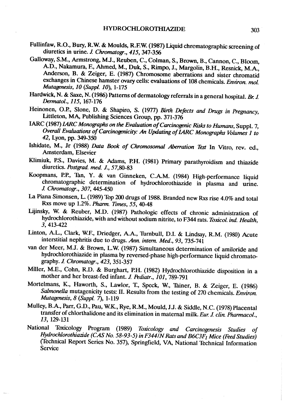- Fullinfaw, R.O., Bury, R.W. & Moulds, R.F.W. (1987) Liquid chromatographic screening of diuretics in urine. J. Chromatogr., 415, 347-356
- Galloway, S.M., Armstrong, M.J., Reuben, C., Colman, S., Brown, B., Cannon, C., Bloom, A.D., Nakamura, F., Ahmed, M., Duk, S., Rimpo, J., Margolin, B.H., Resnick, M.A., Anderson, B. & Zeiger, E. (1987) Chromosome aberrations and sister chromatid exchanges in Chinese hamster ovary cells: evaluations of 108 chemicals. Environ. mol. Mutagenesis, 10 (Suppl. 10), 1-175
- Hardwick, N. & Saxe, N. (1986) Patterns of dermatology referrals in a general hospital. Br. J. Dermol., 115, 167-176
- Heinonen, O.P., Slone, D. & Shapiro, S. (1977) Birth Defects and Drugs in Pregnancy, Littleton, MA, Publishing Sciences Group, pp. 371-376
- IARC (1987) IARC Monographs on the Evaluation of Carcinogenic Risks to Humans, Suppl. 7, Overall Evaluations of Carcinogenicity: An Updating of LARC Monographs Volumes 1 to 42, Lyon, pp. 349-350
- Ishidate, M., Jr (1988) Data Book of Chromosomal Aberration Test In Vitro, rev. ed., Amsterdam, Elsevier
- Klimiuk, P.S., Davies, M. & Adams, P.H. (1981) Primary parathyroidism and thiazide diuretics. Postgrad. med. J., 57,80-83
- Koopmans, P.P., Tan, Y. & van Ginneken, C.A.M. (1984) High-performance liquid chromatographic determination of hydrochlorothiazide in plasma and urine. J. Chromatogr., 307, 445-450
- La Piana Simonsen, L. (1989) Top 200 drugs of 1988. Branded new Rxs rise 4.0% and total Rxs move up 1.2%. Pharm. Times, 55, 40-48
- Lijinsky, W. & Reuber, M.D. (1987) Pathologic effects of chronic administration of hydrochlorothiazide, with and without sodium nitrite, to F344 rats. Toxicol. ind. Health, 3,413-422
- Linton, A.L., Clark, W.E, Driedger, A.A., Thrnbull, D.I. & Lidsay, R.M. (1980) Acute interstitial nephritis due to drugs. Ann. intern. Med., 93, 735-741
- van der Meer, M.J. & Brown, L.W. (1987) Simultaneous determination of amiloride and hydrochlorothiazide in plasma by reversed-phase high-performance liquid chromatography. J. Chromatogr., 423, 351-357
- Miller, M.E., Cohn, R.D. & Burghart, P.H. (1982) Hydrochlorothiazide disposition in a mother and her breast-fed infant. J. Pediatr., 101, 789-791
- Mortelmans, K., Haworth, S., Lawlor, T., Speck, W., Tainer, B. & Zeiger, E. (1986) Salmonella mutagenicity tests: II. Results from the testing of 270 chemicals. Environ. Mutagenesis, 8 (Suppl. 7), 1-119
- Mulley, B.A., Parr, G.D., Pau, W.K., Rye, R.M., Mould, J.J. & Siddle, N.C. (1978) Placental transfer of chlorthalidone and its elimination in maternal milk. Eur. J. clin. Pharmacol., 13, 129-131
- National Toxicology Program (1989) Toxicology and Carcinogenesis Studies of Hydrochlorothiazide (CAS No. 58-93-5) in F344/N Rats and B6C3F<sub>1</sub> Mice (Feed Studies) (fechnical Report Series No. 357), Sprigfield, VA, National Technical Information Service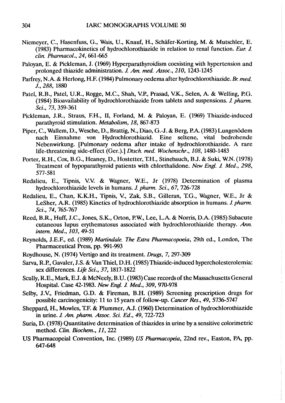- Niemeyer, C., Hasenfuss, G., Wais, V., Knauf, H., Schäfer-Korting, M. & Mutschler, E. (1983) Pharmacokinetics of hydrochlorothiazide in relation to renal function. Eur. J. clin. Pharacol., 24, 661-665
- Paloyan, E. & Pickleman, J. (1969) Hyperparathyroidism coexisting with hypertension and prolonged thiazide administration. J. Am. med. Assoc., 210, 1243-1245
- Parfrey, N.A. & Herlong, H.F. (1984) Pulmonary oedema after hydrochlorothiazide. Br. med. J., 288, 1880
- Patel, R.B., Patel, U.R., Rogge, M.C., Shah, V.P., Prasad, V.K., Selen, A. & Welling, P.G. (1984) Bioavailabilty of hydrochlorothiazide from tablets and suspensions. 1 pharm. Sei., 73, 359-361
- Pickleman, J.R., Straus, F.H., II, Forland, M. & Paloyan, E. (1969) Thiazide-induced parathyroid stimulation. Metabolism, 18, 867-873
- Piper, C., Wallem, D., Wesche, D., Brattig, N., Diao, G.-J. & Berg, P.A. (1983) Lungenödem nach Einnahme von Hydrochlorothiazid. Eine seltene, vital bedrohende Nebenwirkung. [Pulmonary oedema after intake of hydrochlorothiazide. A rare life-threatening side-effect (Ger.).) Dtsch. med. Wochenschr., 108, 1480-1483
- Porter, R.H., Cox, B.G., Heaney, D., Hostetter, T.H., Stinebauch, B.J. & Suki, W.N. (1978) Treatment of hypoparathyroid patients with chlorthalidone. New Engl. J. Med., 298, 577-581
- Redalieu, E., Tipnis, V:V: & Wagner, WE., Jr (1978) Determination of plasma hydrochlorothiazide levels in humans. J. pharm. Sci., 67, 726-728
- Redalieu, E., Chan, K.K.H., Tipnis, V., Zak, S.B., Gilleran, T.G., Wagner, W.E., Jr & LeSher, A.R. (1985) Kinetics of hydrochlorothiazide absorption in humans. J. pharm. Sei., 74, 765-767
- Reed, B.R., Huff, J.C., Jones, S.K., Orton, P.W., Lee, L.A. & Norris, D.A. (1985) Subacute cutaneous lupus erythematosus associated with hydrochlorothiazide therapy. Ann. intem. Med., 103, 49-51
- Reynolds, J.E.F., ed. (1989) Martindale. The Extra Pharmacopoeia, 29th ed., London, The Pharmaceutical Press, pp. 991-993
- Roydhouse, N. (1974) Vertigo and its treatment. Drugs, 7, 297-309
- Sarva, R.P., Gavaler, J.S. & Van Thiel, D.H. (1985) Thiazide-induced hypercholesterolemia:<br>sex differences. Life Sci., 37, 1817-1822
- Scully, R.E., Mark, E.J. & McNeely, B.U. (1983) Case records of the Massachusetts General Hospital. Case 42-1983. New Engl. J. Med., 309, 970-978
- Selby, J.V., Friedman, G.D. & Fireman, B.H. (1989) Screening prescription drugs for possible carcinogenicity: 11 to 15 years of follow-up. Cancer Res., 49, 5736-5747
- Sheppard, H., Mowles, T.F. & Plummer, A.J. (1960) Determination of hydrochlorothiazide in urine. J. Am. pharm. Assoc. Sci. Ed., 49, 722-723
- Suria, D. (1978) Quantitative determination of thiazides in urine by a sensitive colorimetric method. Clin. Biochem., Il, 222
- US Pharmacopeial Convention, Inc. (1989) US Pharmacopeia, 22nd rev., Easton, PA, pp. 647-648